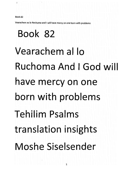*Book 82*

*Vearachem es lo Rechuma and I will have mercy on one born with problems*

## Book 82 Vearachem al lo Ruchoma And I God will have mercy on one born with problems Tehilim Psalms translation insights Moshe Siselsender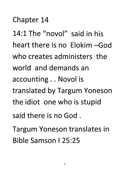Chapter 14

14:1 The "novol" said in his heart there is no Elokim - God who creates administers the world and demands an accounting .. Novol is translated by Targum Yoneson the idiot one who is stupid said there is no God . Targum Yoneson translates in Bible Samson I 25:25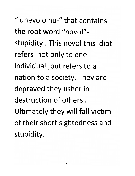" unevolo hu-" that contains the root word "novol" stupidity . This novol this idiot refers not only to one individual ;but refers to a nation to a society. They are depraved they usher in destruction of others. Ultimately they will fall victim of their short sightedness and stupidity.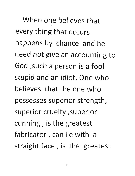When one believes that every thing that occurs happens by chance and he need not give an accounting to God ;such a person is a fool stupid and an idiot. One who believes that the one who possesses superior strength, superior cruelty, superior cunning, is the greatest fabricator, can lie with a straight face , is the greatest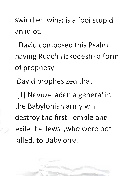swindler wins; is a fool stupid an idiot.

David composed this Psalm having Ruach Hakodesh- a form of prophesy.

David prophesized that

[1] Nevuzeraden a general in the Babylonian army will destroy the first Temple and exile the Jews ,who were not killed, to Babylonia.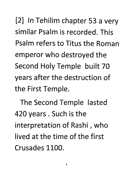[2] In Tehilim chapter 53 a very similar Psalm is recorded. This Psalm refers to Titus the Roman emperor who destroyed the Second Holy Temple built 70 years after the destruction of the First Temple.

The Second Temple lasted 420 years. Such is the interpretation of Rashi, who lived at the time of the first Crusades 1100.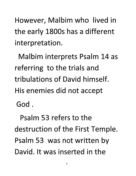However, Malbim who lived in the early 1800s has a different interpretation.

Malbim interprets Psalm 14 as referring to the trials and tribulations of David himself. His enemies did not accept God .

Psalm 53 refers to the destruction of the First Temple. Psalm 53 was not written by David. It was inserted in the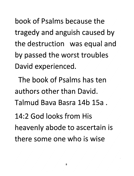book of Psalms because the tragedy and anguish caused by the destruction was equal and by passed the worst troubles David experienced.

The book of Psalms has ten authors other than David. Talmud Bava Basra 14b 15a .

14:2 God looks from His heavenly abode to ascertain is there some one who is wise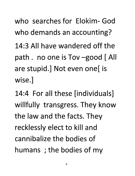*who searches for Elokim-God who demands an accounting?*

*14:3 All have wandered off the path . no one is Tov -good [All are stupid.] Not even one[ is wise.]*

*14:4 For all these [individuals] willfully transgress. They know the law and the facts. They recklessly elect to kill and cannibalize the bodies of humans ; the bodies of my*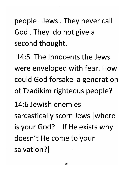people -Jews . They never call God . They do not give a second thought.

14:5 The Innocents the Jews were enveloped with fear. How could God forsake a generation of Tzadikim righteous people? 14:6 Jewish enemies sarcastically scorn Jews [where is your God? If He exists why doesn't He come to your salvation?]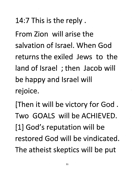*14:7 This is the reply.*

*From Zion will arise the salvation of Israel. When God returns the exiled Jews to the land of Israel ;then Jacob will be happy and Israel will rejoice.*

*[Then it will be victory for God . Two GOALS will be ACHIEVED. [1] God's reputation will be restored God will be vindicated. The atheist skeptics will be put*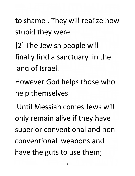*to shame . They will realize how stupid they were.*

*[2] The Jewish people will finally find a sanctuary in the land of Israel.*

*However God helps those who help themselves.*

*Until Messiah comes Jews will only remain alive if they have superior conventional and non conventional weapons and have the guts to use them;*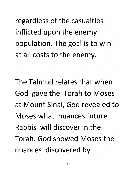regardless of the casualties inflicted upon the enemy population. The goal is to win at all costs to the enemy.

The Talmud relates that when God gave the Torah to Moses at Mount Sinai, God revealed to Moses what nuances future Rabbis will discover in the Torah. God showed Moses the nuances discovered by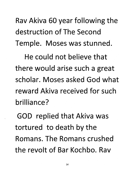Rav Akiva 60 year following the destruction of The Second Temple. Moses was stunned.

He could not believe that there would arise such a great scholar. Moses asked God what reward Akiva received for such brilliance?

GOD replied that Akiva was tortured to death by the Romans. The Romans crushed the revolt of Bar Kochbo. Rav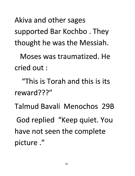Akiva and other sages supported Bar Kochbo . They thought he was the Messiah.

Moses was traumatized. He cried out:

'This is Torah and this is its reward???"

Talmud Bavali Menochos 29B

God replied "Keep quiet. You have not seen the complete picture."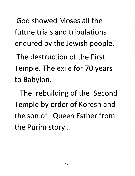*God showed Moses all the future trials and tribulations endured by the Jewish people.*

*The destruction of the First Temple. The exile for 70 years to Babylon.*

*The rebuilding of the Second Temple by order of Koresh and the son of Queen Esther from the Purim story.*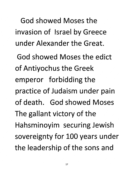God showed Moses the invasion of Israel by Greece under Alexander the Great.

God showed Moses the edict of Antiyochus the Greek emperor forbidding the practice of Judaism under pain of death. God showed Moses The gallant victory of the Hahsminoyim securing Jewish sovereignty for 100 years under the leadership of the sons and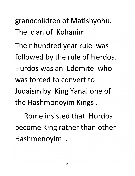*grandchildren of Matishyohu. The clan of Kohanim.*

*Their hundred year rule was followed by the rule of Herdos. Hurdoswasan Edomite who was forced to convert to Judaism by KingYanai one of the Hashmonoyim Kings.*

*Rome insisted that Hurdos become King rather than other Hashmenoyim .*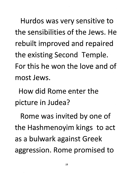Hurdos was very sensitive to the sensibilities of the Jews. He rebuilt improved and repaired the existing Second Temple. For this he won the love and of most Jews.

How did Rome enter the picture in Judea?

Rome was invited by one of the Hashmenoyim kings to act as a bulwark against Greek aggression. Rome promised to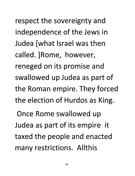respect the sovereignty and independence of the Jews in Judea [what Israel was then called. ]Rome, however, reneged on its promise and swallowed up Judea as part of the Roman empire. They forced the election of Hurdos as King.

Once Rome swallowed up Judea as part of its empire it taxed the people and enacted many restrictions. Allthis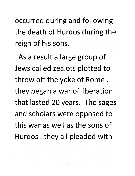*occurred during and following the death of Hurdos during the reign of his sons.*

*As a result a large group of Jews called zealots plotted to throw off the yoke of Rome . they began a war of liberation that lasted 20 years. The sages and scholars were opposed to this war as well as the sons of Hurdos . they all pleaded with*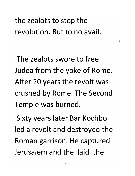*the zealots to stop the revolution. But to no avail.*

*The zealots swore to free Judea from the yoke of Rome. After 20 years the revolt was crushed by Rome. The Second Temple was burned.*

*Sixty years later Bar Kochbo led a revolt and destroyed the Roman garrison. He captured Jerusalem and the laid the*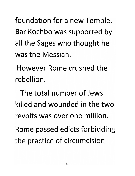*foundation for a new Temple. Bar Kochbo was supported by all the Sages who thought he was the Messiah.*

*However Rome crushed the rebellion.*

*The total number of Jews killed and wounded in the two revolts was over one million.*

*Rome passed edicts forbidding the practice of circumcision*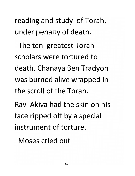*reading and study of Torah, under penalty of death.*

*The ten greatest Torah scholars were tortured to death. Chanaya Ben Tradyon was burned alive wrapped in the scroll of the Torah.*

*Rav Akiva had the skin on his face ripped off by a specia instrument of torture.*

*Moses cried out*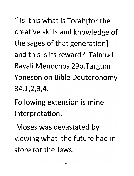*"Is this what is Torah[for the creative skills and knowledge of the sages of that generation] and this is its reward? Talmud Bavali Menochos 29b.Targum Yoneson on Bible Deuteronomy 34:1,2,3,4.*

*Following extension is mine interpretation:*

*Moses was devastated by viewing what the future had in store for the Jews.*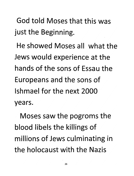God told Moses that this was just the Beginning.

He showed Moses all what the Jews would experience at the hands of the sons of Essau the Europeans and the sons of Ishmael for the next 2000 years.

Moses saw the pogroms the blood libels the killings of millions of Jews culminating in the holocaust with the Nazis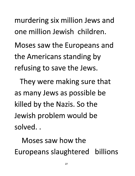*murdering six million Jews and one million Jewish children.*

*Moses saw the Europeans and the Americans standing by refusing to save the Jews.*

*They were making sure that as many Jews as possible be killed by the Nazis. So the Jewish problem would be solved..*

*Moses saw how the Europeans slaughtered billions*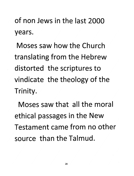*of non Jews in the last 2000 years.*

*Moses saw how the Church translating from the Hebrew distorted the scriptures to vindicate the theology of the Trinity.*

*Moses saw that all the mora ethical passages in the New Testament came from no other source than the Talmud.*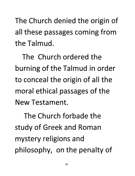*The Church denied the origin of all these passages coming from the Talmud.*

*The Church ordered the burning of the Talmud in order to conceal the origin of all the moral ethical passages of the New Testament.*

*The Church forbade the study of Greek and Roman mystery religions and philosophy, on the penalty of*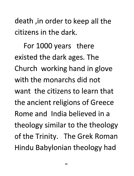*death ,in order to keep all the citizens in the dark.*

*For 1000 years there existed the dark ages. The Church working hand in glove with the monarchs did not want the citizens to learn that the ancient religions of Greece Rome and India believed in a theology similar to the theology of the Trinity. The Grek Roman Hindu Babylonian theology had*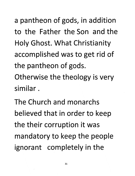*a pantheon of gods, in addition to the Father the Son and the Holy Ghost. What Christianity accomplished was to get rid of the pantheon of gods. Otherwise the theology is very similar.*

*The Church and monarchs believed that in order to keep the their corruption it was mandatory to keep the people ignorant completely in the*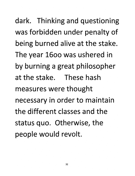dark. Thinking and questioning was forbidden under penalty of being burned alive at the stake. The year 16oo was ushered in by burning a great philosopher at the stake. These hash measures were thought necessary in order to maintain the different classes and the status quo. Otherwise, the people would revolt.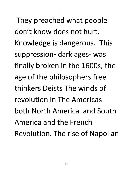*They preached what people don't know does not hurt. Knowledge is dangerous. This suppression- dark ages- was finally broken in the 1600s, the age of the philosophers free thinkers Deists The winds of revolution in The Americas both North America and South America and the French Revolution. The rise of Napolian*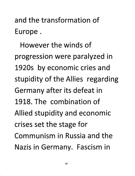and the transformation of Europe.

However the winds of progression were paralyzed in 1920s by economic cries and stupidity of the Allies regarding Germany after its defeat in 1918. The combination of Allied stupidity and economic crises set the stage for Communism in Russia and the Nazis in Germany. Fascism in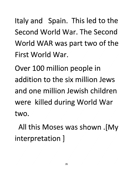*Italy and Spain. This led to the Second World War. The Second World WAR was part two of the First World War.*

*Over 100 million people in addition to the six million Jews and one million Jewish children were killed during World War two.*

*All this Moses was shown .[My interpretation ]*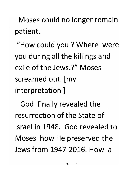Moses could no longer remain patient.

"How could you ? Where were you during all the killings and exile of the Jews.?" Moses screamed out. [my interpretation ]

God finally revealed the resurrection of the State of Israel in 1948. God revealed to Moses how He preserved the Jews from 1947-2016. How a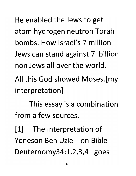*He enabled the Jews to get atom hydrogen neutron Torah bombs. How Israel's 7 million Jews can stand against 7 billion non Jews all over the world.*

*All this God showed Moses.[my interpretation]*

*This essay is a combination from a few sources.*

*[1] The Interpretation of Yoneson Ben Uziel on Bible Deuternomy34:l,2,3,4 goes*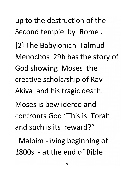up to the destruction of the Second temple by Rome . [2] The Babylonian Talmud Menochos 29b has the story of God showing Moses the creative scholarship of Rav Akiva and his tragic death. Moses is bewildered and confronts God "This is Torah and such is its reward?"

Malbim -living beginning of 1800s - at the end of Bible